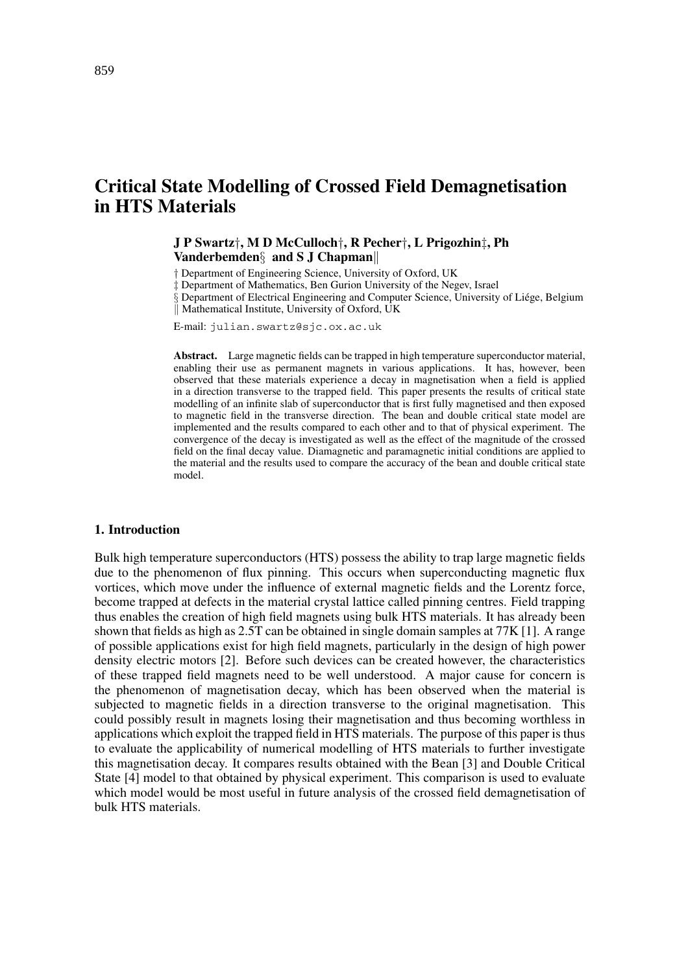# **Critical State Modelling of Crossed Field Demagnetisation in HTS Materials**

**J P Swartz**†**, M D McCulloch**†**, R Pecher**†**, L Prigozhin**‡**, Ph Vanderbemden**§ **and S J Chapman**

† Department of Engineering Science, University of Oxford, UK

‡ Department of Mathematics, Ben Gurion University of the Negev, Israel

Department of Electrical Engineering and Computer Science, University of Liége, Belgium || Mathematical Institute, University of Oxford, UK

E-mail: julian.swartz@sjc.ox.ac.uk

**Abstract.** Large magnetic fields can be trapped in high temperature superconductor material, enabling their use as permanent magnets in various applications. It has, however, been observed that these materials experience a decay in magnetisation when a field is applied in a direction transverse to the trapped field. This paper presents the results of critical state modelling of an infinite slab of superconductor that is first fully magnetised and then exposed to magnetic field in the transverse direction. The bean and double critical state model are implemented and the results compared to each other and to that of physical experiment. The convergence of the decay is investigated as well as the effect of the magnitude of the crossed field on the final decay value. Diamagnetic and paramagnetic initial conditions are applied to the material and the results used to compare the accuracy of the bean and double critical state model.

#### **1. Introduction**

Bulk high temperature superconductors (HTS) possess the ability to trap large magnetic fields due to the phenomenon of flux pinning. This occurs when superconducting magnetic flux vortices, which move under the influence of external magnetic fields and the Lorentz force, become trapped at defects in the material crystal lattice called pinning centres. Field trapping thus enables the creation of high field magnets using bulk HTS materials. It has already been shown that fields as high as 2.5T can be obtained in single domain samples at 77K [1]. A range of possible applications exist for high field magnets, particularly in the design of high power density electric motors [2]. Before such devices can be created however, the characteristics of these trapped field magnets need to be well understood. A major cause for concern is the phenomenon of magnetisation decay, which has been observed when the material is subjected to magnetic fields in a direction transverse to the original magnetisation. This could possibly result in magnets losing their magnetisation and thus becoming worthless in applications which exploit the trapped field in HTS materials. The purpose of this paper is thus to evaluate the applicability of numerical modelling of HTS materials to further investigate this magnetisation decay. It compares results obtained with the Bean [3] and Double Critical State [4] model to that obtained by physical experiment. This comparison is used to evaluate which model would be most useful in future analysis of the crossed field demagnetisation of bulk HTS materials.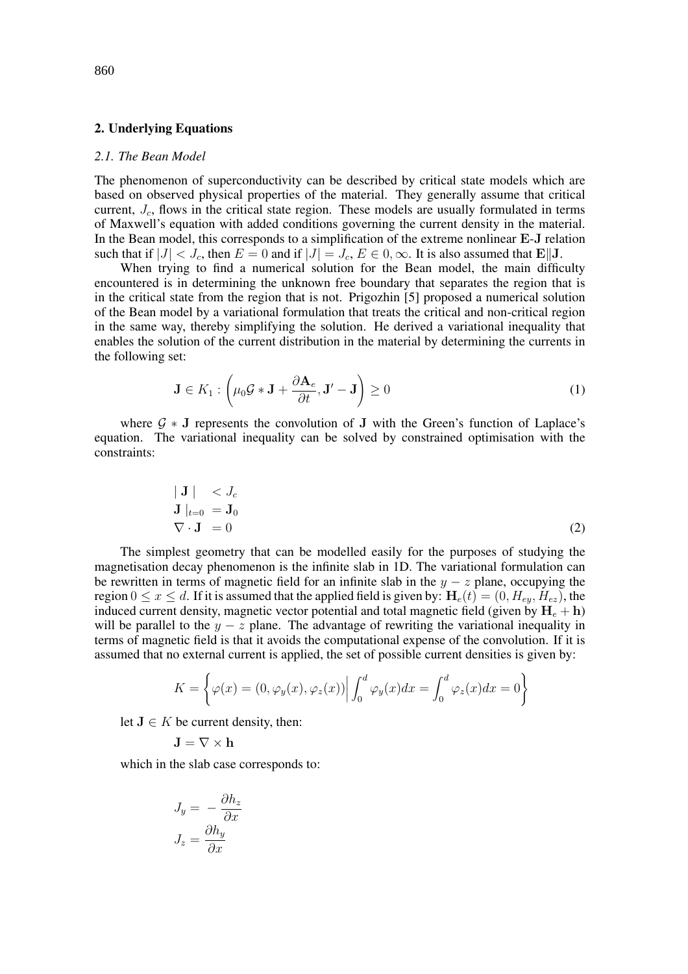#### **2. Underlying Equations**

#### *2.1. The Bean Model*

The phenomenon of superconductivity can be described by critical state models which are based on observed physical properties of the material. They generally assume that critical current,  $J_c$ , flows in the critical state region. These models are usually formulated in terms of Maxwell's equation with added conditions governing the current density in the material. In the Bean model, this corresponds to a simplification of the extreme nonlinear **E**-**J** relation such that if  $|J| < J_c$ , then  $E = 0$  and if  $|J| = J_c$ ,  $E \in 0, \infty$ . It is also assumed that  $\mathbf{E} \parallel \mathbf{J}$ .

When trying to find a numerical solution for the Bean model, the main difficulty encountered is in determining the unknown free boundary that separates the region that is in the critical state from the region that is not. Prigozhin [5] proposed a numerical solution of the Bean model by a variational formulation that treats the critical and non-critical region in the same way, thereby simplifying the solution. He derived a variational inequality that enables the solution of the current distribution in the material by determining the currents in the following set:

$$
\mathbf{J} \in K_1 : \left(\mu_0 \mathcal{G} * \mathbf{J} + \frac{\partial \mathbf{A}_e}{\partial t}, \mathbf{J}' - \mathbf{J}\right) \ge 0
$$
\n(1)

where  $G * J$  represents the convolution of  $J$  with the Green's function of Laplace's equation. The variational inequality can be solved by constrained optimisation with the constraints:

$$
\begin{array}{ll}\n|\mathbf{J}| < J_c \\
\mathbf{J}|_{t=0} = \mathbf{J}_0 \\
\nabla \cdot \mathbf{J} = 0\n\end{array} \tag{2}
$$

The simplest geometry that can be modelled easily for the purposes of studying the magnetisation decay phenomenon is the infinite slab in 1D. The variational formulation can be rewritten in terms of magnetic field for an infinite slab in the  $y - z$  plane, occupying the region  $0 \le x \le d$ . If it is assumed that the applied field is given by:  $H_e(t) = (0, H_{ey}, H_{ez})$ , the induced current density, magnetic vector potential and total magnetic field (given by  $H_e + h$ ) will be parallel to the  $y - z$  plane. The advantage of rewriting the variational inequality in terms of magnetic field is that it avoids the computational expense of the convolution. If it is assumed that no external current is applied, the set of possible current densities is given by:

$$
K = \left\{ \varphi(x) = (0, \varphi_y(x), \varphi_z(x)) \middle| \int_0^d \varphi_y(x) dx = \int_0^d \varphi_z(x) dx = 0 \right\}
$$

let  $J \in K$  be current density, then:

$$
\mathbf{J} = \nabla \times \mathbf{h}
$$

which in the slab case corresponds to:

$$
J_y = -\frac{\partial h_z}{\partial x}
$$

$$
J_z = \frac{\partial h_y}{\partial x}
$$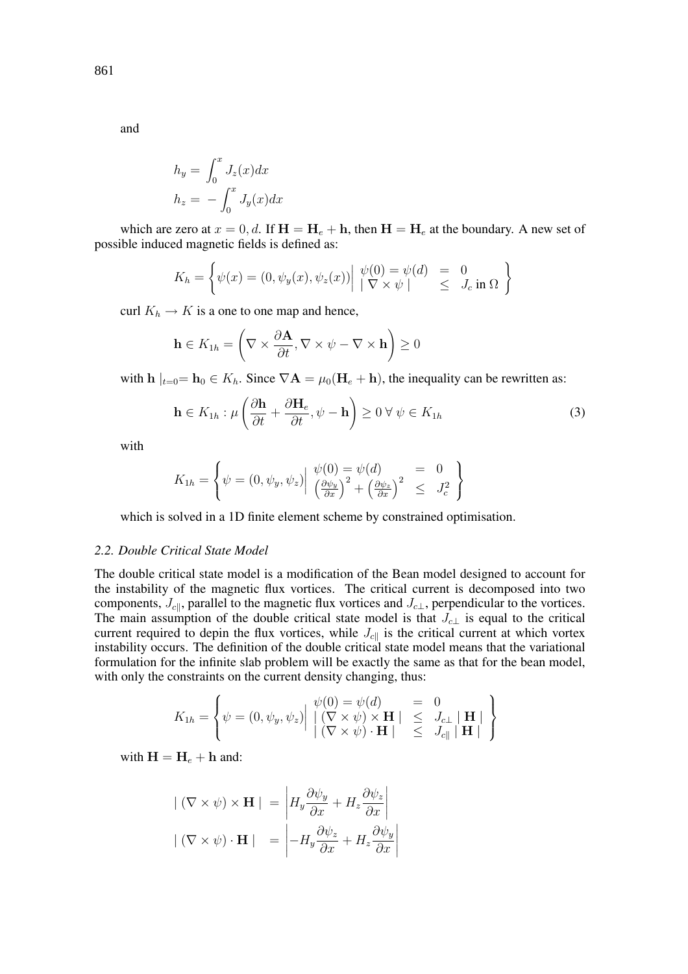$$
h_y = \int_0^x J_z(x) dx
$$

$$
h_z = -\int_0^x J_y(x) dx
$$

which are zero at  $x = 0, d$ . If  $H = H_e + h$ , then  $H = H_e$  at the boundary. A new set of possible induced magnetic fields is defined as:

$$
K_h = \left\{ \psi(x) = (0, \psi_y(x), \psi_z(x)) \middle| \begin{array}{l} \psi(0) = \psi(d) = 0\\ |\nabla \times \psi| \end{array} \right\}
$$

curl  $K_h \to K$  is a one to one map and hence,

$$
\mathbf{h} \in K_{1h} = \left(\nabla \times \frac{\partial \mathbf{A}}{\partial t}, \nabla \times \psi - \nabla \times \mathbf{h}\right) \ge 0
$$

with  $h|_{t=0} = h_0 \in K_h$ . Since  $\nabla \mathbf{A} = \mu_0 (\mathbf{H}_e + \mathbf{h})$ , the inequality can be rewritten as:

$$
\mathbf{h} \in K_{1h} : \mu \left( \frac{\partial \mathbf{h}}{\partial t} + \frac{\partial \mathbf{H}_e}{\partial t}, \psi - \mathbf{h} \right) \ge 0 \,\forall \,\psi \in K_{1h}
$$
 (3)

with

$$
K_{1h} = \left\{ \psi = (0, \psi_y, \psi_z) \middle| \begin{array}{l} \psi(0) = \psi(d) \\ \left(\frac{\partial \psi_y}{\partial x}\right)^2 + \left(\frac{\partial \psi_z}{\partial x}\right)^2 \leq J_c^2 \end{array} \right\}
$$

which is solved in a 1D finite element scheme by constrained optimisation.

### *2.2. Double Critical State Model*

The double critical state model is a modification of the Bean model designed to account for the instability of the magnetic flux vortices. The critical current is decomposed into two components,  $J_{c||}$ , parallel to the magnetic flux vortices and  $J_{c\perp}$ , perpendicular to the vortices. The main assumption of the double critical state model is that  $J_{c\perp}$  is equal to the critical current required to depin the flux vortices, while  $J_{c\parallel}$  is the critical current at which vortex instability occurs. The definition of the double critical state model means that the variational formulation for the infinite slab problem will be exactly the same as that for the bean model, with only the constraints on the current density changing, thus:

$$
K_{1h} = \left\{ \psi = (0, \psi_y, \psi_z) \middle| \begin{array}{lcl} \psi(0) = \psi(d) & = & 0 \\ \left| \begin{array}{lcl} (\nabla \times \psi) \times \mathbf{H} \mid & \leq & J_{c\perp} \mid \mathbf{H} \mid \\ (\nabla \times \psi) \cdot \mathbf{H} \mid & \leq & J_{c\parallel} \mid \mathbf{H} \mid \end{array} \right| \end{array} \right\}
$$

with  $H = H_e + h$  and:

$$
| (\nabla \times \psi) \times \mathbf{H} | = \left| H_y \frac{\partial \psi_y}{\partial x} + H_z \frac{\partial \psi_z}{\partial x} \right|
$$
  

$$
| (\nabla \times \psi) \cdot \mathbf{H} | = \left| -H_y \frac{\partial \psi_z}{\partial x} + H_z \frac{\partial \psi_y}{\partial x} \right|
$$

861

and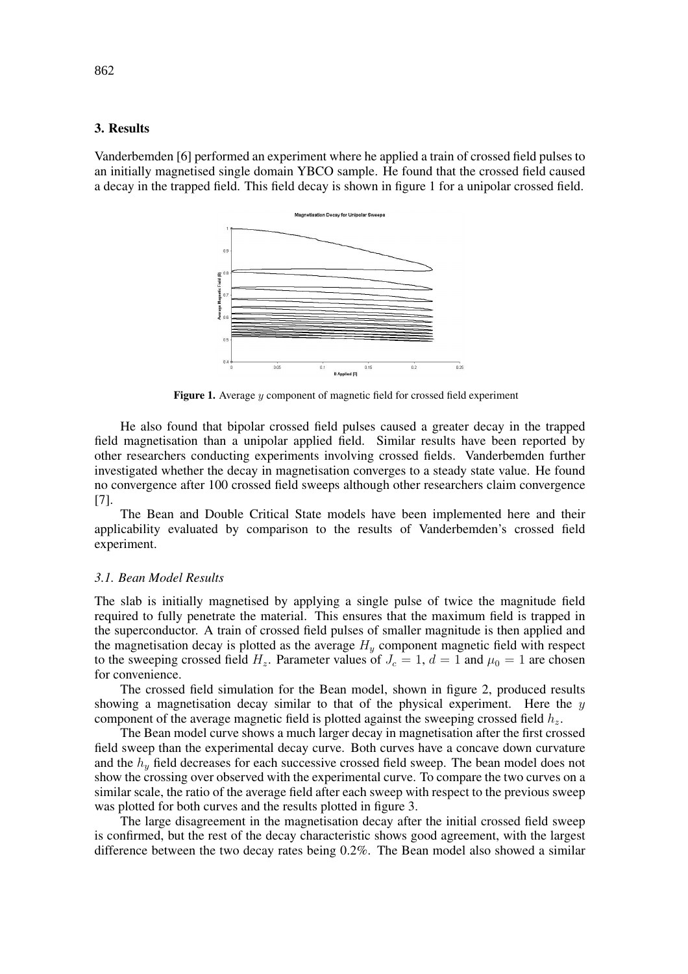## **3. Results**

Vanderbemden [6] performed an experiment where he applied a train of crossed field pulses to an initially magnetised single domain YBCO sample. He found that the crossed field caused a decay in the trapped field. This field decay is shown in figure 1 for a unipolar crossed field.



**Figure 1.** Average y component of magnetic field for crossed field experiment

He also found that bipolar crossed field pulses caused a greater decay in the trapped field magnetisation than a unipolar applied field. Similar results have been reported by other researchers conducting experiments involving crossed fields. Vanderbemden further investigated whether the decay in magnetisation converges to a steady state value. He found no convergence after 100 crossed field sweeps although other researchers claim convergence [7].

The Bean and Double Critical State models have been implemented here and their applicability evaluated by comparison to the results of Vanderbemden's crossed field experiment.

#### *3.1. Bean Model Results*

The slab is initially magnetised by applying a single pulse of twice the magnitude field required to fully penetrate the material. This ensures that the maximum field is trapped in the superconductor. A train of crossed field pulses of smaller magnitude is then applied and the magnetisation decay is plotted as the average  $H<sub>y</sub>$  component magnetic field with respect to the sweeping crossed field  $H_z$ . Parameter values of  $J_c = 1$ ,  $d = 1$  and  $\mu_0 = 1$  are chosen for convenience.

The crossed field simulation for the Bean model, shown in figure 2, produced results showing a magnetisation decay similar to that of the physical experiment. Here the  $\eta$ component of the average magnetic field is plotted against the sweeping crossed field  $h<sub>z</sub>$ .

The Bean model curve shows a much larger decay in magnetisation after the first crossed field sweep than the experimental decay curve. Both curves have a concave down curvature and the  $h_y$  field decreases for each successive crossed field sweep. The bean model does not show the crossing over observed with the experimental curve. To compare the two curves on a similar scale, the ratio of the average field after each sweep with respect to the previous sweep was plotted for both curves and the results plotted in figure 3.

The large disagreement in the magnetisation decay after the initial crossed field sweep is confirmed, but the rest of the decay characteristic shows good agreement, with the largest difference between the two decay rates being 0.2%. The Bean model also showed a similar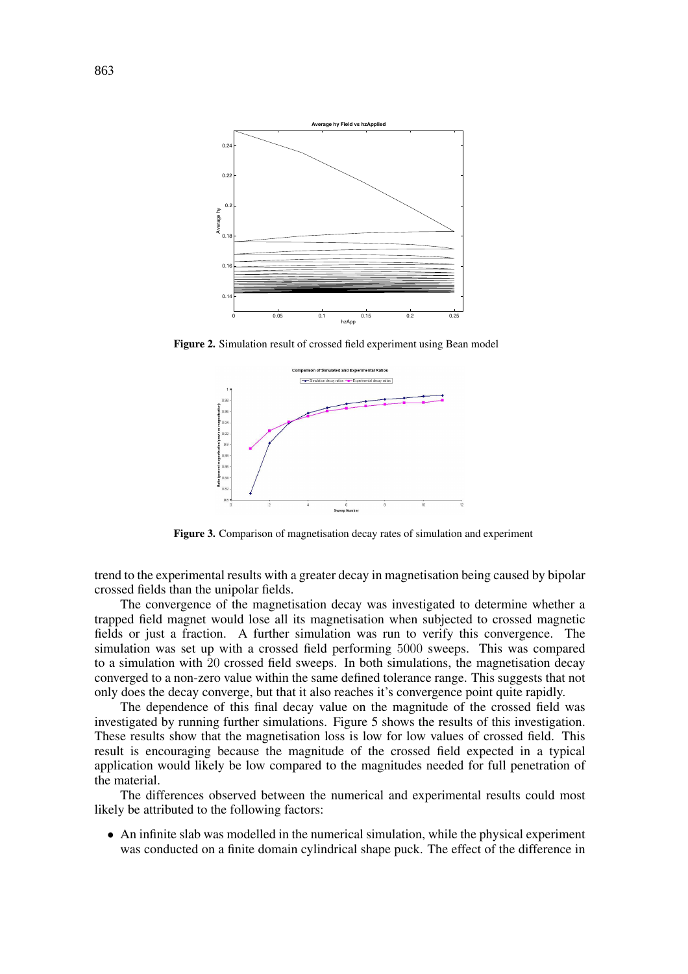

**Figure 2.** Simulation result of crossed field experiment using Bean model



**Figure 3.** Comparison of magnetisation decay rates of simulation and experiment

trend to the experimental results with a greater decay in magnetisation being caused by bipolar crossed fields than the unipolar fields.

The convergence of the magnetisation decay was investigated to determine whether a trapped field magnet would lose all its magnetisation when subjected to crossed magnetic fields or just a fraction. A further simulation was run to verify this convergence. The simulation was set up with a crossed field performing 5000 sweeps. This was compared to a simulation with 20 crossed field sweeps. In both simulations, the magnetisation decay converged to a non-zero value within the same defined tolerance range. This suggests that not only does the decay converge, but that it also reaches it's convergence point quite rapidly.

The dependence of this final decay value on the magnitude of the crossed field was investigated by running further simulations. Figure 5 shows the results of this investigation. These results show that the magnetisation loss is low for low values of crossed field. This result is encouraging because the magnitude of the crossed field expected in a typical application would likely be low compared to the magnitudes needed for full penetration of the material.

The differences observed between the numerical and experimental results could most likely be attributed to the following factors:

• An infinite slab was modelled in the numerical simulation, while the physical experiment was conducted on a finite domain cylindrical shape puck. The effect of the difference in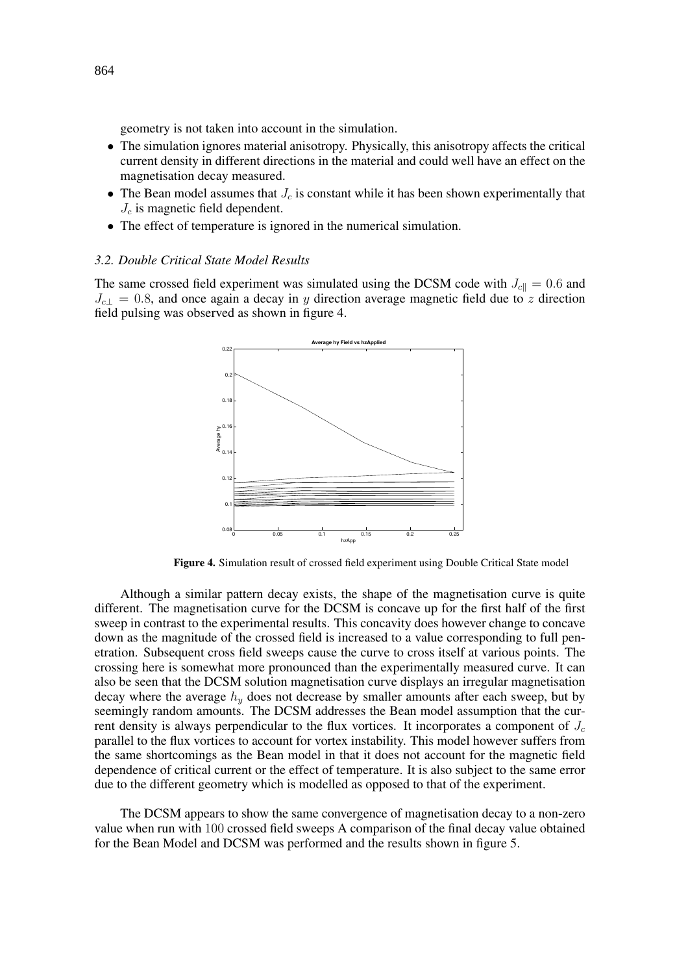geometry is not taken into account in the simulation.

- The simulation ignores material anisotropy. Physically, this anisotropy affects the critical current density in different directions in the material and could well have an effect on the magnetisation decay measured.
- The Bean model assumes that  $J_c$  is constant while it has been shown experimentally that  $J_c$  is magnetic field dependent.
- The effect of temperature is ignored in the numerical simulation.

## *3.2. Double Critical State Model Results*

The same crossed field experiment was simulated using the DCSM code with  $J_{c\parallel} = 0.6$  and  $J_{c\perp} = 0.8$ , and once again a decay in y direction average magnetic field due to z direction field pulsing was observed as shown in figure 4.



**Figure 4.** Simulation result of crossed field experiment using Double Critical State model

Although a similar pattern decay exists, the shape of the magnetisation curve is quite different. The magnetisation curve for the DCSM is concave up for the first half of the first sweep in contrast to the experimental results. This concavity does however change to concave down as the magnitude of the crossed field is increased to a value corresponding to full penetration. Subsequent cross field sweeps cause the curve to cross itself at various points. The crossing here is somewhat more pronounced than the experimentally measured curve. It can also be seen that the DCSM solution magnetisation curve displays an irregular magnetisation decay where the average  $h_y$  does not decrease by smaller amounts after each sweep, but by seemingly random amounts. The DCSM addresses the Bean model assumption that the current density is always perpendicular to the flux vortices. It incorporates a component of  $J_c$ parallel to the flux vortices to account for vortex instability. This model however suffers from the same shortcomings as the Bean model in that it does not account for the magnetic field dependence of critical current or the effect of temperature. It is also subject to the same error due to the different geometry which is modelled as opposed to that of the experiment.

The DCSM appears to show the same convergence of magnetisation decay to a non-zero value when run with 100 crossed field sweeps A comparison of the final decay value obtained for the Bean Model and DCSM was performed and the results shown in figure 5.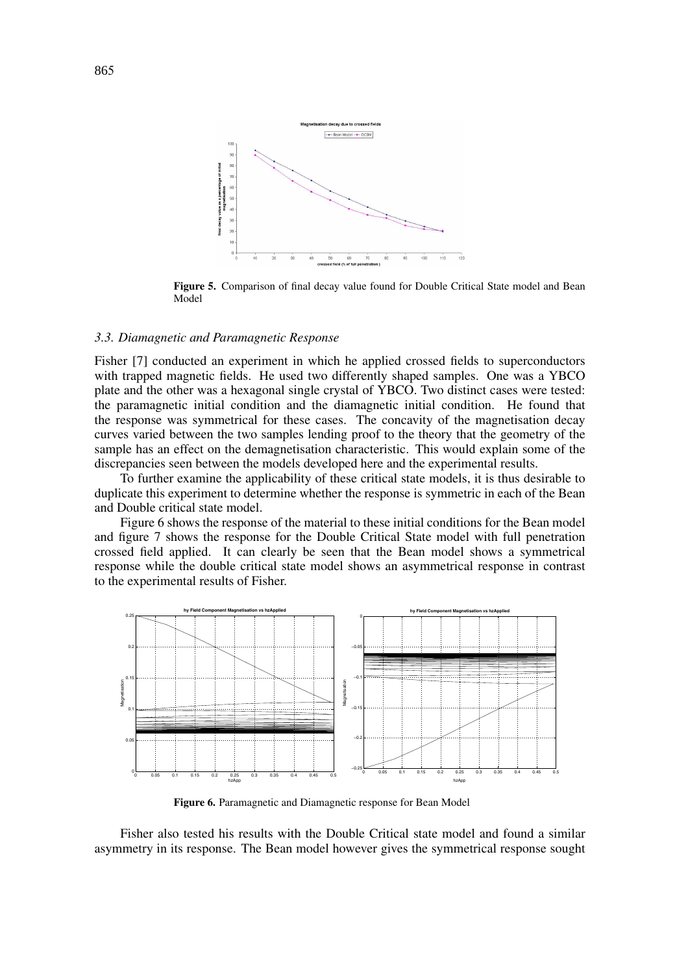

**Figure 5.** Comparison of final decay value found for Double Critical State model and Bean Model

#### *3.3. Diamagnetic and Paramagnetic Response*

Fisher [7] conducted an experiment in which he applied crossed fields to superconductors with trapped magnetic fields. He used two differently shaped samples. One was a YBCO plate and the other was a hexagonal single crystal of YBCO. Two distinct cases were tested: the paramagnetic initial condition and the diamagnetic initial condition. He found that the response was symmetrical for these cases. The concavity of the magnetisation decay curves varied between the two samples lending proof to the theory that the geometry of the sample has an effect on the demagnetisation characteristic. This would explain some of the discrepancies seen between the models developed here and the experimental results.

To further examine the applicability of these critical state models, it is thus desirable to duplicate this experiment to determine whether the response is symmetric in each of the Bean and Double critical state model.

Figure 6 shows the response of the material to these initial conditions for the Bean model and figure 7 shows the response for the Double Critical State model with full penetration crossed field applied. It can clearly be seen that the Bean model shows a symmetrical response while the double critical state model shows an asymmetrical response in contrast to the experimental results of Fisher.



**Figure 6.** Paramagnetic and Diamagnetic response for Bean Model

Fisher also tested his results with the Double Critical state model and found a similar asymmetry in its response. The Bean model however gives the symmetrical response sought